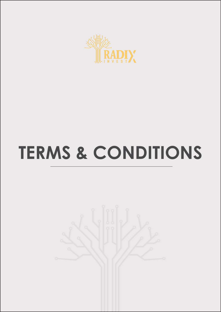

# **TERMS & CONDITIONS**

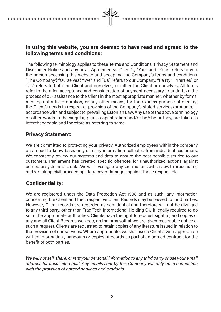The following terminology applies to these Terms and Conditions, Privacy Statement and Disclaimer Notice and any or all Agreements: "Client" , " You" and " Your" refers to you, the person accessing this website and accepting the Company's terms and conditions. " The Company", "Ourselves", "We" and "Us", refers to our Company. "Pa rty" , "Parties", or "Us", refers to both the Client and ourselves, or either the Client or ourselves. All terms refer to the offer, acceptance and consideration of payment necessary to undertake the process of our assistance to the Client in the most appropriate manner, whether by formal meetings of a fixed duration, or any other means, for the express purpose of meeting the Client's needs in respect of provision of the Company's stated services/products, in accordance with and subject to, prevailing Estonian Law. Any use of the above terminology or other words in the singular, plural, capitalization and/or he/she or they, are taken as interchangeable and therefore as referring to same.

## Privacy Statement:

We are committed to protecting your privacy. Authorized employees within the company on a need to-know basis only use any information collected from individual customers. We constantly review our systems and data to ensure the best possible service to our customers. Parliament has created specific offences for unauthorized actions against computer systems and data. We will investigate any such actions with a view to prosecuting and/or taking civil proceedings to recover damages against those responsible.

## Confidentiality:

We are registered under the Data Protection Act 1998 and as such, any information concerning the Client and their respective Client Records may be passed to third parties. However, Client records are regarded as confidential and therefore will not be divulged to any third party, other than Trad Tech International Holding OU if legally required to do so to the appropriate authorities. Clients have the right to request sight of, and copies of any and all Client Records we keep, on the provisothat we are given reasonable notice of such a request. Clients are requested to retain copies of any literature issued in relation to the provision of our services. Where appropriate, we shall issue Client's with appropriate written information , handouts or copies ofrecords as part of an agreed contract, for the benefit of both parties.

We will not sell, share, or rent your personal information to any third party or use your e mail address for unsolicited mail. Any emails sent by this Company will only be in connection with the provision of agreed services and products.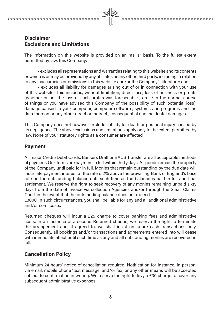## Disclaimer Exclusions and Limitations

The information on this website is provided on an "as is" basis. To the fullest extent permitted by law, this Company:

• excludes all representations and warranties relating to this website and its contents or which is or may be provided by any affiliates or any other third party, including in relation to any inaccuracies or omissions in this website and/or the Company's literature; and

• excludes all liability for damages arising out of or in connection with your use of this website. This includes, without limitation, direct loss, loss of business or profits (whether or not the loss of such profits was foreseeable , arose in the normal course of things or you have advised this Company of the possibility of such potential loss), damage caused to your computer, computer software , systems and programs and the data thereon or any other direct or indirect , consequential and incidental damages.

This Company does not however exclude liability for death or personal injury caused by its negligence. The above exclusions and limitations apply only to the extent permitted by law. None of your statutory rights as a consumer are affected.

#### Payment

All major Credit/Debit Cards, Bankers Draft or BACS Transfer are all acceptable methods of payment. Our Terms are payment in full within thirty days. All goods remain the property of the Company until paid for in full. Monies that remain outstanding by the due date will incur late payment interest at the rate of2% above the prevailing Bank of England's base rate on the outstanding balance until such time as the balance is paid in full and final settlement. We reserve the right to seek recovery of any monies remaining unpaid sixty days from the date of invoice via collection Agencies and/or through the Small Claims Court in the event that the outstanding balance does not exceed

£3000. In such circumstances, you shall be liable for any and all additional administrative and/or comi costs.

Returned cheques will incur a £25 charge to cover banking fees and administrative costs. In an instance of a second Returned cheque, we reserve the right to terminate the arrangement and, if agreed to, we shall insist on future cash transactions only. Consequently, all bookings and/or transactions and agreements entered into will cease with immediate effect until such time as any and all outstanding monies are recovered in full.

## Cancellation Policy

Minimum 24 hours' notice of cancellation required. Notification for instance, in person, via email, mobile phone 'text message' and/or fax, or any other means will be accepted subject to confirmation in writing. We reserve the right to levy a £30 charge to cover any subsequent administrative expenses.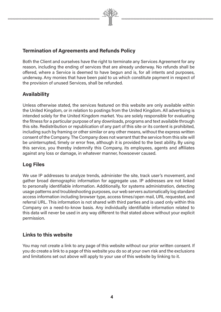

## Termination of Agreements and Refunds Policy

Both the Client and ourselves have the right to terminate any Services Agreement for any reason, including the ending of services that are already underway. No refunds shall be offered, where a Service is deemed to have begun and is, for all intents and purposes, underway. Any monies that have been paid to us which constitute payment in respect of the provision of unused Services, shall be refunded.

## Availability

Unless otherwise stated, the services featured on this website are only available within the United Kingdom, or in relation to postings from the United Kingdom. All advertising is intended solely for the United Kingdom market. You are solely responsible for evaluating the fitness for a particular purpose of any downloads, programs and text available through this site. Redistribution or republication of any part of this site or its content is prohibited, including such by framing or other similar or any other means, without the express written consent of the Company. The Company does not warrant that the service from this site will be uninterrupted, timely or error free, although it is provided to the best ability. By using this service, you thereby indemnify this Company, its employees, agents and affiliates against any loss or damage, in whatever manner, howsoever caused.

## Log Files

We use IP addresses to analyze trends, administer the site, track user's movement, and gather broad demographic information for aggregate use. IP addresses are not linked to personally identifiable information. Additionally, for systems administration, detecting usage patterns and troubleshooting purposes, our web servers automatically log standard access information including browser type, access times/open mail, URL requested, and referral URL. This information is not shared with third parties and is used only within this Company on a need-to-know basis. Any individually identifiable information related to this data will never be used in any way different to that stated above without your explicit permission.

## Links to this website

You may not create a link to any page of this website without our prior written consent. If you do create a link to a page of this website you do so at your own risk and the exclusions and limitations set out above will apply to your use of this website by linking to it.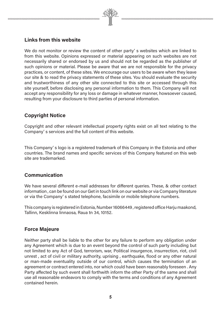

We do not monitor or review the content of other party' s websites which are linked to from this website. Opinions expressed or material appearing on such websites are not necessarily shared or endorsed by us and should not be regarded as the publisher of such opinions or material. Please be aware that we are not responsible for the privacy practices, or content, of these sites. We encourage our users to be aware when they leave our site & to read the privacy statements of these sites. You should evaluate the security and trustworthiness of any other site connected to this site or accessed through this site yourself, before disclosing any personal information to them. This Company will not accept any responsibility for any loss or damage in whatever manner, howsoever caused, resulting from your disclosure to third parties of personal information.

## Copyright Notice

Copyright and other relevant intellectual property rights exist on all text relating to the Company' s services and the full content of this website.

This Company' s logo is a registered trademark of this Company in the Estonia and other countries. The brand names and specific services of this Company featured on this web site are trademarked.

## Communication

We have several different e-mail addresses for different queries. These, & other contact information , can be found on our Get in touch link on our website or via Company literature or via the Company' s stated telephone, facsimile or mobile telephone numbers.

This company is registered in Estonia, Number 16066449 , registered office Harju maakond, Tallinn, Kesklinna linnaosa, Raua tn 34, 10152.

## Force Majeure

Neither party shall be liable to the other for any failure to perform any obligation under any Agreement which is due to an event beyond the control of such party including but not limited to any Act of God, terrorism, war, Political insurgence, insurrection, riot, civil unrest , act of civil or military authority, uprising , earthquake, flood or any other natural or man-made eventuality outside of our control, which causes the termination of an agreement or contract entered into, nor which could have been reasonably foreseen . Any Party affected by such event shall forthwith inform the other Party of the same and shall use all reasonable endeavors to comply with the terms and conditions of any Agreement contained herein.